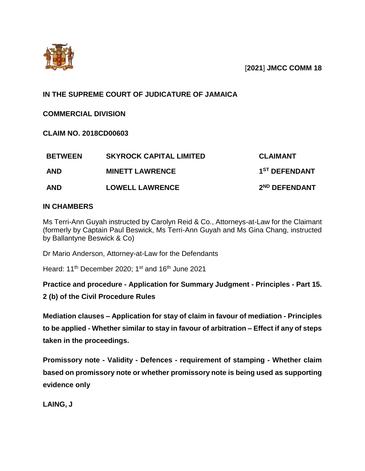

[**2021**] **JMCC COMM 18**

# **IN THE SUPREME COURT OF JUDICATURE OF JAMAICA**

**COMMERCIAL DIVISION** 

**CLAIM NO. 2018CD00603**

| <b>BETWEEN</b> | <b>SKYROCK CAPITAL LIMITED</b> | <b>CLAIMANT</b>           |
|----------------|--------------------------------|---------------------------|
| <b>AND</b>     | <b>MINETT LAWRENCE</b>         | 1 <sup>ST</sup> DEFENDANT |
| <b>AND</b>     | <b>LOWELL LAWRENCE</b>         | 2 <sup>ND</sup> DEFENDANT |

## **IN CHAMBERS**

Ms Terri-Ann Guyah instructed by Carolyn Reid & Co., Attorneys-at-Law for the Claimant (formerly by Captain Paul Beswick, Ms Terri-Ann Guyah and Ms Gina Chang, instructed by Ballantyne Beswick & Co)

Dr Mario Anderson, Attorney-at-Law for the Defendants

Heard: 11<sup>th</sup> December 2020; 1<sup>st</sup> and 16<sup>th</sup> June 2021

**Practice and procedure - Application for Summary Judgment - Principles - Part 15.** 

**2 (b) of the Civil Procedure Rules**

**Mediation clauses – Application for stay of claim in favour of mediation - Principles to be applied - Whether similar to stay in favour of arbitration – Effect if any of steps taken in the proceedings.**

**Promissory note - Validity - Defences - requirement of stamping - Whether claim based on promissory note or whether promissory note is being used as supporting evidence only** 

**LAING, J**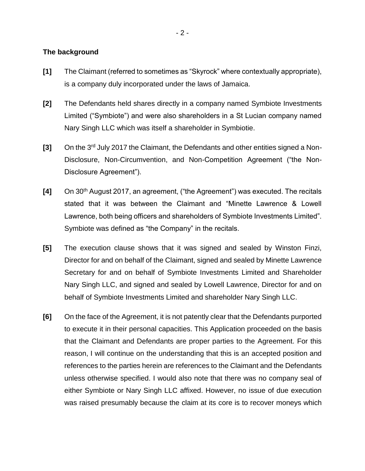#### **The background**

- **[1]** The Claimant (referred to sometimes as "Skyrock" where contextually appropriate), is a company duly incorporated under the laws of Jamaica.
- **[2]** The Defendants held shares directly in a company named Symbiote Investments Limited ("Symbiote") and were also shareholders in a St Lucian company named Nary Singh LLC which was itself a shareholder in Symbiotie.
- **[3]** On the 3rd July 2017 the Claimant, the Defendants and other entities signed a Non-Disclosure, Non-Circumvention, and Non-Competition Agreement ("the Non-Disclosure Agreement").
- **[4]** On 30th August 2017, an agreement, ("the Agreement") was executed. The recitals stated that it was between the Claimant and "Minette Lawrence & Lowell Lawrence, both being officers and shareholders of Symbiote Investments Limited". Symbiote was defined as "the Company" in the recitals.
- **[5]** The execution clause shows that it was signed and sealed by Winston Finzi, Director for and on behalf of the Claimant, signed and sealed by Minette Lawrence Secretary for and on behalf of Symbiote Investments Limited and Shareholder Nary Singh LLC, and signed and sealed by Lowell Lawrence, Director for and on behalf of Symbiote Investments Limited and shareholder Nary Singh LLC.
- **[6]** On the face of the Agreement, it is not patently clear that the Defendants purported to execute it in their personal capacities. This Application proceeded on the basis that the Claimant and Defendants are proper parties to the Agreement. For this reason, I will continue on the understanding that this is an accepted position and references to the parties herein are references to the Claimant and the Defendants unless otherwise specified. I would also note that there was no company seal of either Symbiote or Nary Singh LLC affixed. However, no issue of due execution was raised presumably because the claim at its core is to recover moneys which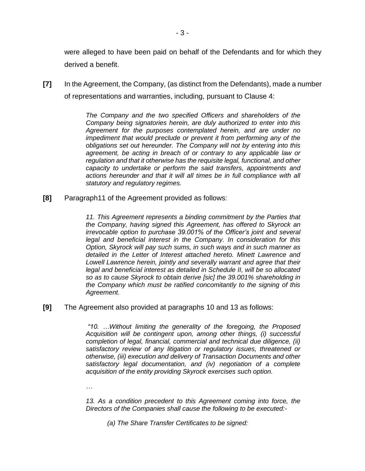were alleged to have been paid on behalf of the Defendants and for which they derived a benefit.

**[7]** In the Agreement, the Company, (as distinct from the Defendants), made a number of representations and warranties, including, pursuant to Clause 4:

> *The Company and the two specified Officers and shareholders of the Company being signatories herein, are duly authorized to enter into this Agreement for the purposes contemplated herein, and are under no impediment that would preclude or prevent it from performing any of the obligations set out hereunder. The Company will not by entering into this agreement, be acting in breach of or contrary to any applicable law or regulation and that it otherwise has the requisite legal, functional, and other capacity to undertake or perform the said transfers, appointments and actions hereunder and that it will all times be in full compliance with all statutory and regulatory regimes.*

**[8]** Paragraph11 of the Agreement provided as follows:

11. This Agreement represents a binding commitment by the Parties that *the Company, having signed this Agreement, has offered to Skyrock an irrevocable option to purchase 39.001% of the Officer's joint and several legal and beneficial interest in the Company. In consideration for this Option, Skyrock will pay such sums, in such ways and in such manner as detailed in the Letter of Interest attached hereto. Minett Lawrence and Lowell Lawrence herein, jointly and severally warrant and agree that their legal and beneficial interest as detailed in Schedule II, will be so allocated so as to cause Skyrock to obtain derive [sic] the 39.001% shareholding in the Company which must be ratified concomitantly to the signing of this Agreement.*

**[9]** The Agreement also provided at paragraphs 10 and 13 as follows:

*"10. …Without limiting the generality of the foregoing, the Proposed Acquisition will be contingent upon, among other things, (i) successful completion of legal, financial, commercial and technical due diligence, (ii) satisfactory review of any litigation or regulatory issues, threatened or otherwise, (iii) execution and delivery of Transaction Documents and other satisfactory legal documentation, and (iv) negotiation of a complete acquisition of the entity providing Skyrock exercises such option.*

*…*

*13. As a condition precedent to this Agreement coming into force, the Directors of the Companies shall cause the following to be executed:-*

*(a) The Share Transfer Certificates to be signed:*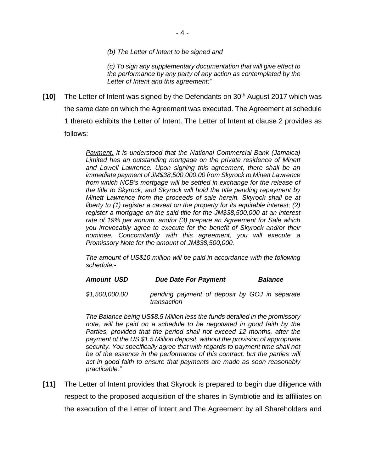*(b) The Letter of Intent to be signed and* 

*(c) To sign any supplementary documentation that will give effect to the performance by any party of any action as contemplated by the Letter of Intent and this agreement;"*

**[10]** The Letter of Intent was signed by the Defendants on 30<sup>th</sup> August 2017 which was the same date on which the Agreement was executed. The Agreement at schedule 1 thereto exhibits the Letter of Intent. The Letter of Intent at clause 2 provides as follows:

> *Payment. It is understood that the National Commercial Bank (Jamaica) Limited has an outstanding mortgage on the private residence of Minett and Lowell Lawrence. Upon signing this agreement, there shall be an immediate payment of JM\$38,500,000.00 from Skyrock to Minett Lawrence from which NCB's mortgage will be settled in exchange for the release of the title to Skyrock; and Skyrock will hold the title pending repayment by Minett Lawrence from the proceeds of sale herein. Skyrock shall be at liberty to (1) register a caveat on the property for its equitable interest; (2) register a mortgage on the said title for the JM\$38,500,000 at an interest rate of 19% per annum, and/or (3) prepare an Agreement for Sale which you irrevocably agree to execute for the benefit of Skyrock and/or their nominee. Concomitantly with this agreement, you will execute a Promissory Note for the amount of JM\$38,500,000.*

> *The amount of US\$10 million will be paid in accordance with the following schedule:-*

#### *Amount USD Due Date For Payment Balance*

*\$1,500,000.00 pending payment of deposit by GOJ in separate transaction* 

*The Balance being US\$8.5 Million less the funds detailed in the promissory note, will be paid on a schedule to be negotiated in good faith by the Parties, provided that the period shall not exceed 12 months, after the payment of the US \$1.5 Million deposit, without the provision of appropriate security. You specifically agree that with regards to payment time shall not be of the essence in the performance of this contract, but the parties will act in good faith to ensure that payments are made as soon reasonably practicable."*

**[11]** The Letter of Intent provides that Skyrock is prepared to begin due diligence with respect to the proposed acquisition of the shares in Symbiotie and its affiliates on the execution of the Letter of Intent and The Agreement by all Shareholders and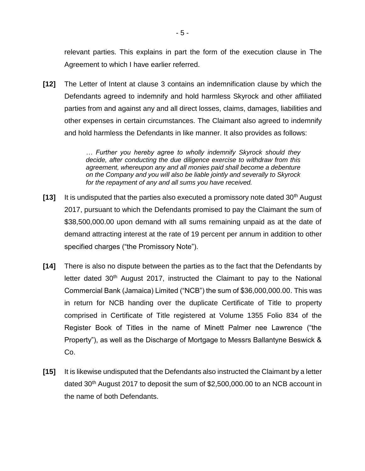relevant parties. This explains in part the form of the execution clause in The Agreement to which I have earlier referred.

**[12]** The Letter of Intent at clause 3 contains an indemnification clause by which the Defendants agreed to indemnify and hold harmless Skyrock and other affiliated parties from and against any and all direct losses, claims, damages, liabilities and other expenses in certain circumstances. The Claimant also agreed to indemnify and hold harmless the Defendants in like manner. It also provides as follows:

> *… Further you hereby agree to wholly indemnify Skyrock should they decide, after conducting the due diligence exercise to withdraw from this agreement, whereupon any and all monies paid shall become a debenture on the Company and you will also be liable jointly and severally to Skyrock for the repayment of any and all sums you have received.*

- **[13]** It is undisputed that the parties also executed a promissory note dated 30<sup>th</sup> August 2017, pursuant to which the Defendants promised to pay the Claimant the sum of \$38,500,000.00 upon demand with all sums remaining unpaid as at the date of demand attracting interest at the rate of 19 percent per annum in addition to other specified charges ("the Promissory Note").
- **[14]** There is also no dispute between the parties as to the fact that the Defendants by letter dated 30<sup>th</sup> August 2017, instructed the Claimant to pay to the National Commercial Bank (Jamaica) Limited ("NCB") the sum of \$36,000,000.00. This was in return for NCB handing over the duplicate Certificate of Title to property comprised in Certificate of Title registered at Volume 1355 Folio 834 of the Register Book of Titles in the name of Minett Palmer nee Lawrence ("the Property"), as well as the Discharge of Mortgage to Messrs Ballantyne Beswick & Co.
- **[15]** It is likewise undisputed that the Defendants also instructed the Claimant by a letter dated 30<sup>th</sup> August 2017 to deposit the sum of \$2,500,000.00 to an NCB account in the name of both Defendants.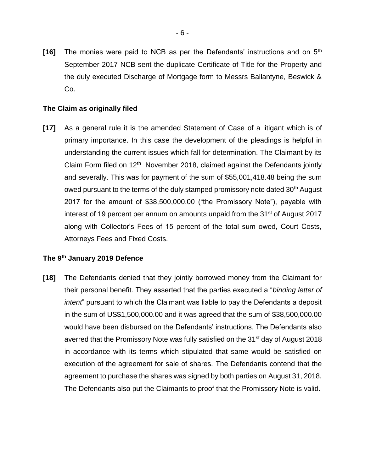**[16]** The monies were paid to NCB as per the Defendants' instructions and on 5th September 2017 NCB sent the duplicate Certificate of Title for the Property and the duly executed Discharge of Mortgage form to Messrs Ballantyne, Beswick & Co.

### **The Claim as originally filed**

**[17]** As a general rule it is the amended Statement of Case of a litigant which is of primary importance. In this case the development of the pleadings is helpful in understanding the current issues which fall for determination. The Claimant by its Claim Form filed on  $12<sup>th</sup>$  November 2018, claimed against the Defendants jointly and severally. This was for payment of the sum of \$55,001,418.48 being the sum owed pursuant to the terms of the duly stamped promissory note dated 30<sup>th</sup> August 2017 for the amount of \$38,500,000.00 ("the Promissory Note"), payable with interest of 19 percent per annum on amounts unpaid from the 31<sup>st</sup> of August 2017 along with Collector's Fees of 15 percent of the total sum owed, Court Costs, Attorneys Fees and Fixed Costs.

# **The 9th January 2019 Defence**

**[18]** The Defendants denied that they jointly borrowed money from the Claimant for their personal benefit. They asserted that the parties executed a "*binding letter of intent*" pursuant to which the Claimant was liable to pay the Defendants a deposit in the sum of US\$1,500,000.00 and it was agreed that the sum of \$38,500,000.00 would have been disbursed on the Defendants' instructions. The Defendants also averred that the Promissory Note was fully satisfied on the 31<sup>st</sup> day of August 2018 in accordance with its terms which stipulated that same would be satisfied on execution of the agreement for sale of shares. The Defendants contend that the agreement to purchase the shares was signed by both parties on August 31, 2018. The Defendants also put the Claimants to proof that the Promissory Note is valid.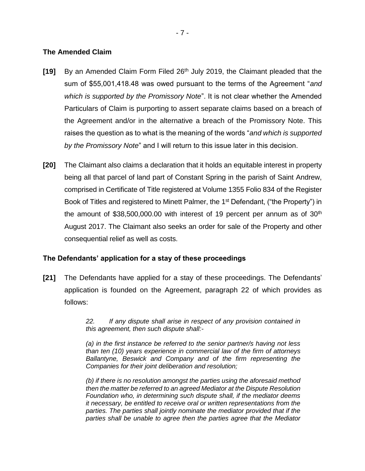### **The Amended Claim**

- **[19]** By an Amended Claim Form Filed 26th July 2019, the Claimant pleaded that the sum of \$55,001,418.48 was owed pursuant to the terms of the Agreement "*and which is supported by the Promissory Note*". It is not clear whether the Amended Particulars of Claim is purporting to assert separate claims based on a breach of the Agreement and/or in the alternative a breach of the Promissory Note. This raises the question as to what is the meaning of the words "*and which is supported by the Promissory Note*" and I will return to this issue later in this decision.
- **[20]** The Claimant also claims a declaration that it holds an equitable interest in property being all that parcel of land part of Constant Spring in the parish of Saint Andrew, comprised in Certificate of Title registered at Volume 1355 Folio 834 of the Register Book of Titles and registered to Minett Palmer, the 1<sup>st</sup> Defendant, ("the Property") in the amount of  $$38,500,000.00$  with interest of 19 percent per annum as of  $30<sup>th</sup>$ August 2017. The Claimant also seeks an order for sale of the Property and other consequential relief as well as costs.

## **The Defendants' application for a stay of these proceedings**

**[21]** The Defendants have applied for a stay of these proceedings. The Defendants' application is founded on the Agreement, paragraph 22 of which provides as follows:

> *22. If any dispute shall arise in respect of any provision contained in this agreement, then such dispute shall:-*

> *(a) in the first instance be referred to the senior partner/s having not less than ten (10) years experience in commercial law of the firm of attorneys Ballantyne, Beswick and Company and of the firm representing the Companies for their joint deliberation and resolution;*

> *(b) if there is no resolution amongst the parties using the aforesaid method then the matter be referred to an agreed Mediator at the Dispute Resolution Foundation who, in determining such dispute shall, if the mediator deems it necessary, be entitled to receive oral or written representations from the parties. The parties shall jointly nominate the mediator provided that if the parties shall be unable to agree then the parties agree that the Mediator*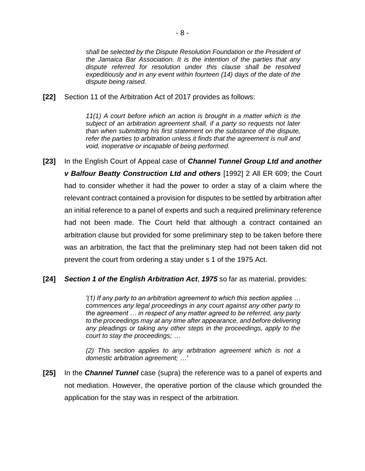*shall be selected by the Dispute Resolution Foundation or the President of the Jamaica Bar Association. It is the intention of the parties that any dispute referred for resolution under this clause shall be resolved expeditiously and in any event within fourteen (14) days of the date of the dispute being raised.*

**[22]** Section 11 of the Arbitration Act of 2017 provides as follows:

*11(1) A court before which an action is brought in a matter which is the subject of an arbitration agreement shall, if a party so requests not later than when submitting his first statement on the substance of the dispute,*  refer the parties to arbitration unless it finds that the agreement is null and *void, inoperative or incapable of being performed.*

**[23]** In the English Court of Appeal case of *Channel Tunnel Group Ltd and another v Balfour Beatty Construction Ltd and others* [1992] 2 All ER 609; the Court had to consider whether it had the power to order a stay of a claim where the relevant contract contained a provision for disputes to be settled by arbitration after an initial reference to a panel of experts and such a required preliminary reference had not been made. The Court held that although a contract contained an arbitration clause but provided for some preliminary step to be taken before there was an arbitration, the fact that the preliminary step had not been taken did not prevent the court from ordering a stay under s 1 of the 1975 Act.

#### **[24]** *Section 1 of the English Arbitration Act*, *1975* so far as material, provides:

*'(1) If any party to an arbitration agreement to which this section applies … commences any legal proceedings in any court against any other party to the agreement … in respect of any matter agreed to be referred, any party to the proceedings may at any time after appearance, and before delivering any pleadings or taking any other steps in the proceedings, apply to the court to stay the proceedings; …*

*(2) This section applies to any arbitration agreement which is not a domestic arbitration agreement; …'*

**[25]** In the *Channel Tunnel* case (supra) the reference was to a panel of experts and not mediation. However, the operative portion of the clause which grounded the application for the stay was in respect of the arbitration.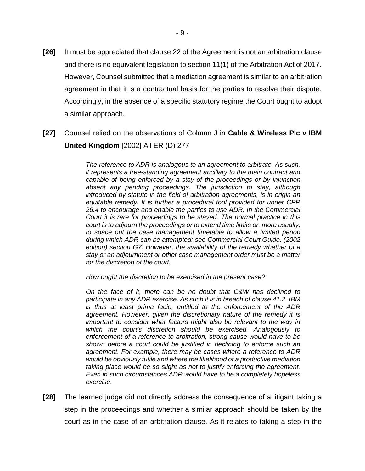- **[26]** It must be appreciated that clause 22 of the Agreement is not an arbitration clause and there is no equivalent legislation to section 11(1) of the Arbitration Act of 2017. However, Counsel submitted that a mediation agreement is similar to an arbitration agreement in that it is a contractual basis for the parties to resolve their dispute. Accordingly, in the absence of a specific statutory regime the Court ought to adopt a similar approach.
- **[27]** Counsel relied on the observations of Colman J in **Cable & Wireless Plc v IBM United Kingdom** [2002] All ER (D) 277

*The reference to ADR is analogous to an agreement to arbitrate. As such, it represents a free-standing agreement ancillary to the main contract and capable of being enforced by a stay of the proceedings or by injunction absent any pending proceedings. The jurisdiction to stay, although introduced by statute in the field of arbitration agreements, is in origin an equitable remedy. It is further a procedural tool provided for under CPR 26.4 to encourage and enable the parties to use ADR. In the Commercial Court it is rare for proceedings to be stayed. The normal practice in this court is to adjourn the proceedings or to extend time limits or, more usually, to space out the case management timetable to allow a limited period during which ADR can be attempted: see Commercial Court Guide, (2002 edition) section G7. However, the availability of the remedy whether of a stay or an adjournment or other case management order must be a matter for the discretion of the court.*

*How ought the discretion to be exercised in the present case?*

*On the face of it, there can be no doubt that C&W has declined to participate in any ADR exercise. As such it is in breach of clause 41.2. IBM is thus at least prima facie, entitled to the enforcement of the ADR agreement. However, given the discretionary nature of the remedy it is important to consider what factors might also be relevant to the way in which the court's discretion should be exercised. Analogously to enforcement of a reference to arbitration, strong cause would have to be shown before a court could be justified in declining to enforce such an agreement. For example, there may be cases where a reference to ADR would be obviously futile and where the likelihood of a productive mediation taking place would be so slight as not to justify enforcing the agreement. Even in such circumstances ADR would have to be a completely hopeless exercise.*

**[28]** The learned judge did not directly address the consequence of a litigant taking a step in the proceedings and whether a similar approach should be taken by the court as in the case of an arbitration clause. As it relates to taking a step in the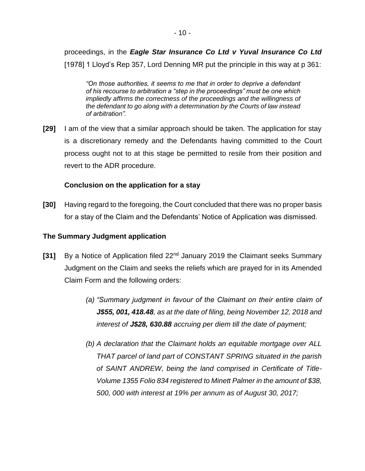proceedings, in the *Eagle Star Insurance Co Ltd v Yuval Insurance Co Ltd*  [1978] 1 Lloyd's Rep 357, Lord Denning MR put the principle in this way at p 361:

*"On those authorities, it seems to me that in order to deprive a defendant of his recourse to arbitration a "step in the proceedings" must be one which impliedly affirms the correctness of the proceedings and the willingness of the defendant to go along with a determination by the Courts of law instead of arbitration".*

**[29]** I am of the view that a similar approach should be taken. The application for stay is a discretionary remedy and the Defendants having committed to the Court process ought not to at this stage be permitted to resile from their position and revert to the ADR procedure.

## **Conclusion on the application for a stay**

**[30]** Having regard to the foregoing, the Court concluded that there was no proper basis for a stay of the Claim and the Defendants' Notice of Application was dismissed.

### **The Summary Judgment application**

- **[31]** By a Notice of Application filed 22<sup>nd</sup> January 2019 the Claimant seeks Summary Judgment on the Claim and seeks the reliefs which are prayed for in its Amended Claim Form and the following orders:
	- *(a) "Summary judgment in favour of the Claimant on their entire claim of J\$55, 001, 418.48, as at the date of filing, being November 12, 2018 and interest of J\$28, 630.88 accruing per diem till the date of payment;*
	- *(b) A declaration that the Claimant holds an equitable mortgage over ALL THAT parcel of land part of CONSTANT SPRING situated in the parish of SAINT ANDREW, being the land comprised in Certificate of Title-Volume 1355 Folio 834 registered to Minett Palmer in the amount of \$38, 500, 000 with interest at 19% per annum as of August 30, 2017;*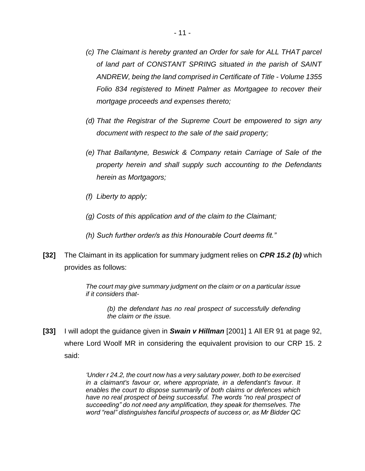- *(c) The Claimant is hereby granted an Order for sale for ALL THAT parcel of land part of CONSTANT SPRING situated in the parish of SAINT ANDREW, being the land comprised in Certificate of Title - Volume 1355 Folio 834 registered to Minett Palmer as Mortgagee to recover their mortgage proceeds and expenses thereto;*
- *(d) That the Registrar of the Supreme Court be empowered to sign any document with respect to the sale of the said property;*
- *(e) That Ballantyne, Beswick & Company retain Carriage of Sale of the property herein and shall supply such accounting to the Defendants herein as Mortgagors;*
- *(f) Liberty to apply;*
- *(g) Costs of this application and of the claim to the Claimant;*
- *(h) Such further order/s as this Honourable Court deems fit."*
- **[32]** The Claimant in its application for summary judgment relies on *CPR 15.2 (b)* which provides as follows:

*The court may give summary judgment on the claim or on a particular issue if it considers that-*

*(b) the defendant has no real prospect of successfully defending the claim or the issue.*

**[33]** I will adopt the guidance given in *Swain v Hillman* [2001] 1 All ER 91 at page 92, where Lord Woolf MR in considering the equivalent provision to our CRP 15. 2 said:

> *'Under r 24.2, the court now has a very salutary power, both to be exercised in a claimant's favour or, where appropriate, in a defendant's favour. It enables the court to dispose summarily of both claims or defences which have no real prospect of being successful. The words "no real prospect of succeeding" do not need any amplification, they speak for themselves. The word "real" distinguishes fanciful prospects of success or, as Mr Bidder QC*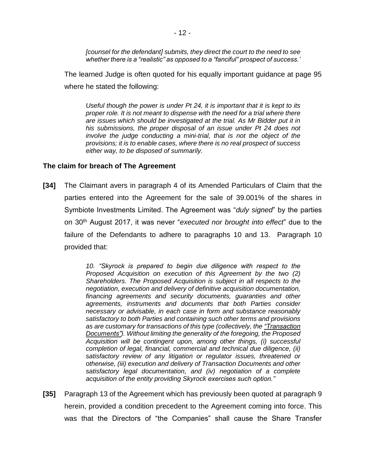*[counsel for the defendant] submits, they direct the court to the need to see whether there is a "realistic" as opposed to a "fanciful" prospect of success.'*

The learned Judge is often quoted for his equally important guidance at page 95 where he stated the following:

*Useful though the power is under Pt 24, it is important that it is kept to its proper role. It is not meant to dispense with the need for a trial where there are issues which should be investigated at the trial. As Mr Bidder put it in his submissions, the proper disposal of an issue under Pt 24 does not involve the judge conducting a mini-trial, that is not the object of the provisions; it is to enable cases, where there is no real prospect of success either way, to be disposed of summarily.*

#### **The claim for breach of The Agreement**

**[34]** The Claimant avers in paragraph 4 of its Amended Particulars of Claim that the parties entered into the Agreement for the sale of 39.001% of the shares in Symbiote Investments Limited. The Agreement was "*duly signed*" by the parties on 30th August 2017, it was never "*executed nor brought into effect*" due to the failure of the Defendants to adhere to paragraphs 10 and 13. Paragraph 10 provided that:

> *10. "Skyrock is prepared to begin due diligence with respect to the Proposed Acquisition on execution of this Agreement by the two (2) Shareholders. The Proposed Acquisition is subject in all respects to the negotiation, execution and delivery of definitive acquisition documentation, financing agreements and security documents, guaranties and other agreements, instruments and documents that both Parties consider necessary or advisable, in each case in form and substance reasonably satisfactory to both Parties and containing such other terms and provisions as are customary for transactions of this type (collectively, the "Transaction Documents"). Without limiting the generality of the foregoing, the Proposed Acquisition will be contingent upon, among other things, (i) successful completion of legal, financial, commercial and technical due diligence, (ii) satisfactory review of any litigation or regulator issues, threatened or otherwise, (iii) execution and delivery of Transaction Documents and other satisfactory legal documentation, and (iv) negotiation of a complete acquisition of the entity providing Skyrock exercises such option."*

**[35]** Paragraph 13 of the Agreement which has previously been quoted at paragraph 9 herein, provided a condition precedent to the Agreement coming into force. This was that the Directors of "the Companies" shall cause the Share Transfer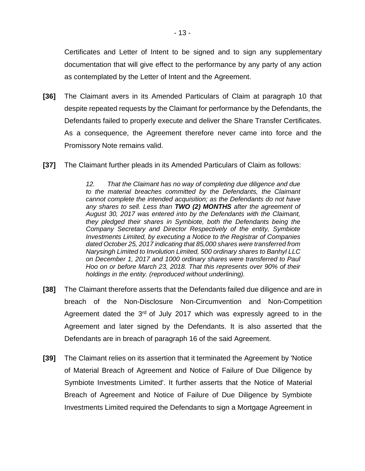Certificates and Letter of Intent to be signed and to sign any supplementary documentation that will give effect to the performance by any party of any action as contemplated by the Letter of Intent and the Agreement.

- **[36]** The Claimant avers in its Amended Particulars of Claim at paragraph 10 that despite repeated requests by the Claimant for performance by the Defendants, the Defendants failed to properly execute and deliver the Share Transfer Certificates. As a consequence, the Agreement therefore never came into force and the Promissory Note remains valid.
- **[37]** The Claimant further pleads in its Amended Particulars of Claim as follows:

*12. That the Claimant has no way of completing due diligence and due to the material breaches committed by the Defendants, the Claimant cannot complete the intended acquisition; as the Defendants do not have any shares to sell. Less than TWO (2) MONTHS after the agreement of August 30, 2017 was entered into by the Defendants with the Claimant, they pledged their shares in Symbiote, both the Defendants being the Company Secretary and Director Respectively of the entity, Symbiote Investments Limited, by executing a Notice to the Registrar of Companies dated October 25, 2017 indicating that 85,000 shares were transferred from Narysingh Limited to Involution Limited, 500 ordinary shares to Banhyl LLC on December 1, 2017 and 1000 ordinary shares were transferred to Paul Hoo on or before March 23, 2018. That this represents over 90% of their holdings in the entity. (reproduced without underlining).*

- **[38]** The Claimant therefore asserts that the Defendants failed due diligence and are in breach of the Non-Disclosure Non-Circumvention and Non-Competition Agreement dated the  $3<sup>rd</sup>$  of July 2017 which was expressly agreed to in the Agreement and later signed by the Defendants. It is also asserted that the Defendants are in breach of paragraph 16 of the said Agreement.
- **[39]** The Claimant relies on its assertion that it terminated the Agreement by 'Notice of Material Breach of Agreement and Notice of Failure of Due Diligence by Symbiote Investments Limited'. It further asserts that the Notice of Material Breach of Agreement and Notice of Failure of Due Diligence by Symbiote Investments Limited required the Defendants to sign a Mortgage Agreement in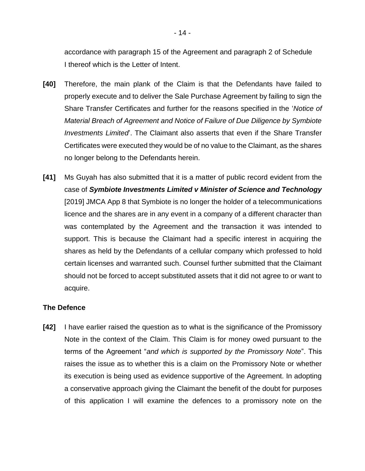accordance with paragraph 15 of the Agreement and paragraph 2 of Schedule I thereof which is the Letter of Intent.

- **[40]** Therefore, the main plank of the Claim is that the Defendants have failed to properly execute and to deliver the Sale Purchase Agreement by failing to sign the Share Transfer Certificates and further for the reasons specified in the '*Notice of Material Breach of Agreement and Notice of Failure of Due Diligence by Symbiote Investments Limited*'. The Claimant also asserts that even if the Share Transfer Certificates were executed they would be of no value to the Claimant, as the shares no longer belong to the Defendants herein.
- **[41]** Ms Guyah has also submitted that it is a matter of public record evident from the case of *Symbiote Investments Limited v Minister of Science and Technology* [2019] JMCA App 8 that Symbiote is no longer the holder of a telecommunications licence and the shares are in any event in a company of a different character than was contemplated by the Agreement and the transaction it was intended to support. This is because the Claimant had a specific interest in acquiring the shares as held by the Defendants of a cellular company which professed to hold certain licenses and warranted such. Counsel further submitted that the Claimant should not be forced to accept substituted assets that it did not agree to or want to acquire.

## **The Defence**

**[42]** I have earlier raised the question as to what is the significance of the Promissory Note in the context of the Claim. This Claim is for money owed pursuant to the terms of the Agreement "*and which is supported by the Promissory Note*". This raises the issue as to whether this is a claim on the Promissory Note or whether its execution is being used as evidence supportive of the Agreement. In adopting a conservative approach giving the Claimant the benefit of the doubt for purposes of this application I will examine the defences to a promissory note on the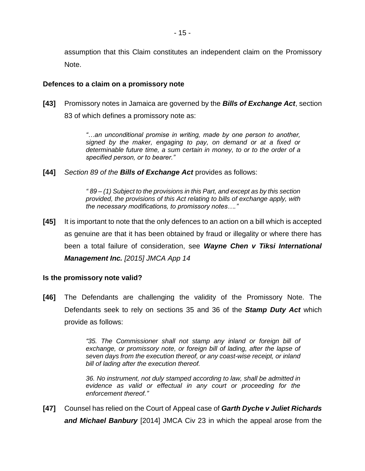assumption that this Claim constitutes an independent claim on the Promissory Note.

#### **Defences to a claim on a promissory note**

**[43]** Promissory notes in Jamaica are governed by the *Bills of Exchange Act*, section 83 of which defines a promissory note as:

> *"…an unconditional promise in writing, made by one person to another, signed by the maker, engaging to pay, on demand or at a fixed or determinable future time, a sum certain in money, to or to the order of a specified person, or to bearer."*

**[44]** *Section 89 of the Bills of Exchange Act* provides as follows:

*" 89 – (1) Subject to the provisions in this Part, and except as by this section provided, the provisions of this Act relating to bills of exchange apply, with the necessary modifications, to promissory notes…."*

**[45]** It is important to note that the only defences to an action on a bill which is accepted as genuine are that it has been obtained by fraud or illegality or where there has been a total failure of consideration, see *Wayne Chen v Tiksi International Management Inc. [2015] JMCA App 14*

## **Is the promissory note valid?**

**[46]** The Defendants are challenging the validity of the Promissory Note. The Defendants seek to rely on sections 35 and 36 of the *Stamp Duty Act* which provide as follows:

> *"35. The Commissioner shall not stamp any inland or foreign bill of exchange, or promissory note, or foreign bill of lading, after the lapse of seven days from the execution thereof, or any coast-wise receipt, or inland bill of lading after the execution thereof.*

> *36. No instrument, not duly stamped according to law, shall be admitted in evidence as valid or effectual in any court or proceeding for the enforcement thereof."*

**[47]** Counsel has relied on the Court of Appeal case of *Garth Dyche v Juliet Richards and Michael Banbury* [2014] JMCA Civ 23 in which the appeal arose from the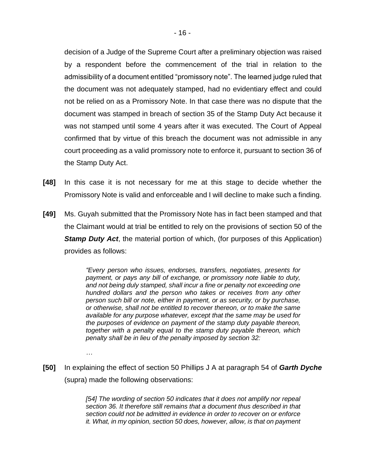decision of a Judge of the Supreme Court after a preliminary objection was raised by a respondent before the commencement of the trial in relation to the admissibility of a document entitled "promissory note". The learned judge ruled that the document was not adequately stamped, had no evidentiary effect and could not be relied on as a Promissory Note. In that case there was no dispute that the document was stamped in breach of section 35 of the Stamp Duty Act because it was not stamped until some 4 years after it was executed. The Court of Appeal confirmed that by virtue of this breach the document was not admissible in any court proceeding as a valid promissory note to enforce it, pursuant to section 36 of the Stamp Duty Act.

- **[48]** In this case it is not necessary for me at this stage to decide whether the Promissory Note is valid and enforceable and I will decline to make such a finding.
- **[49]** Ms. Guyah submitted that the Promissory Note has in fact been stamped and that the Claimant would at trial be entitled to rely on the provisions of section 50 of the **Stamp Duty Act**, the material portion of which, (for purposes of this Application) provides as follows:

*"Every person who issues, endorses, transfers, negotiates, presents for payment, or pays any bill of exchange, or promissory note liable to duty, and not being duly stamped, shall incur a fine or penalty not exceeding one hundred dollars and the person who takes or receives from any other person such bill or note, either in payment, or as security, or by purchase, or otherwise, shall not be entitled to recover thereon, or to make the same available for any purpose whatever, except that the same may be used for the purposes of evidence on payment of the stamp duty payable thereon, together with a penalty equal to the stamp duty payable thereon, which penalty shall be in lieu of the penalty imposed by section 32:*

*…*

**[50]** In explaining the effect of section 50 Phillips J A at paragraph 54 of *Garth Dyche* (supra) made the following observations:

> *[54] The wording of section 50 indicates that it does not amplify nor repeal section 36. It therefore still remains that a document thus described in that section could not be admitted in evidence in order to recover on or enforce it. What, in my opinion, section 50 does, however, allow, is that on payment*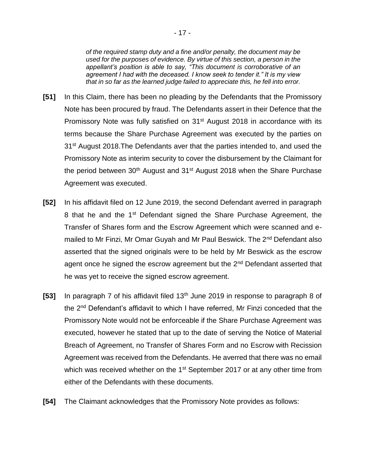*of the required stamp duty and a fine and/or penalty, the document may be used for the purposes of evidence. By virtue of this section, a person in the appellant's position is able to say, "This document is corroborative of an agreement I had with the deceased. I know seek to tender it." It is my view that in so far as the learned judge failed to appreciate this, he fell into error.*

- **[51]** In this Claim, there has been no pleading by the Defendants that the Promissory Note has been procured by fraud. The Defendants assert in their Defence that the Promissory Note was fully satisfied on 31<sup>st</sup> August 2018 in accordance with its terms because the Share Purchase Agreement was executed by the parties on 31<sup>st</sup> August 2018. The Defendants aver that the parties intended to, and used the Promissory Note as interim security to cover the disbursement by the Claimant for the period between  $30<sup>th</sup>$  August and  $31<sup>st</sup>$  August 2018 when the Share Purchase Agreement was executed.
- **[52]** In his affidavit filed on 12 June 2019, the second Defendant averred in paragraph 8 that he and the 1st Defendant signed the Share Purchase Agreement, the Transfer of Shares form and the Escrow Agreement which were scanned and emailed to Mr Finzi, Mr Omar Guyah and Mr Paul Beswick. The 2<sup>nd</sup> Defendant also asserted that the signed originals were to be held by Mr Beswick as the escrow agent once he signed the escrow agreement but the 2<sup>nd</sup> Defendant asserted that he was yet to receive the signed escrow agreement.
- **[53]** In paragraph 7 of his affidavit filed 13<sup>th</sup> June 2019 in response to paragraph 8 of the 2nd Defendant's affidavit to which I have referred, Mr Finzi conceded that the Promissory Note would not be enforceable if the Share Purchase Agreement was executed, however he stated that up to the date of serving the Notice of Material Breach of Agreement, no Transfer of Shares Form and no Escrow with Recission Agreement was received from the Defendants. He averred that there was no email which was received whether on the 1<sup>st</sup> September 2017 or at any other time from either of the Defendants with these documents.
- **[54]** The Claimant acknowledges that the Promissory Note provides as follows: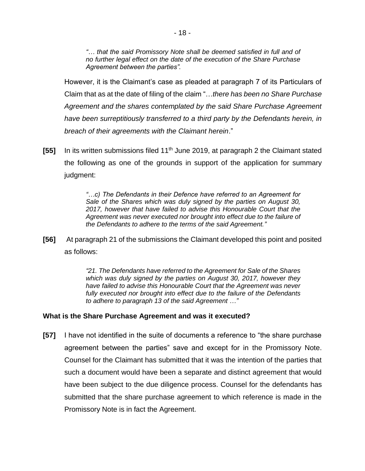*"… that the said Promissory Note shall be deemed satisfied in full and of no further legal effect on the date of the execution of the Share Purchase Agreement between the parties".*

However, it is the Claimant's case as pleaded at paragraph 7 of its Particulars of Claim that as at the date of filing of the claim "…*there has been no Share Purchase Agreement and the shares contemplated by the said Share Purchase Agreement have been surreptitiously transferred to a third party by the Defendants herein, in breach of their agreements with the Claimant herein*."

**[55]** In its written submissions filed 11th June 2019, at paragraph 2 the Claimant stated the following as one of the grounds in support of the application for summary judgment:

> *"…c) The Defendants in their Defence have referred to an Agreement for Sale of the Shares which was duly signed by the parties on August 30, 2017, however that have failed to advise this Honourable Court that the Agreement was never executed nor brought into effect due to the failure of the Defendants to adhere to the terms of the said Agreement."*

**[56]** At paragraph 21 of the submissions the Claimant developed this point and posited as follows:

> *"21. The Defendants have referred to the Agreement for Sale of the Shares which was duly signed by the parties on August 30, 2017, however they have failed to advise this Honourable Court that the Agreement was never fully executed nor brought into effect due to the failure of the Defendants to adhere to paragraph 13 of the said Agreement …"*

#### **What is the Share Purchase Agreement and was it executed?**

**[57]** I have not identified in the suite of documents a reference to "the share purchase agreement between the parties" save and except for in the Promissory Note. Counsel for the Claimant has submitted that it was the intention of the parties that such a document would have been a separate and distinct agreement that would have been subject to the due diligence process. Counsel for the defendants has submitted that the share purchase agreement to which reference is made in the Promissory Note is in fact the Agreement.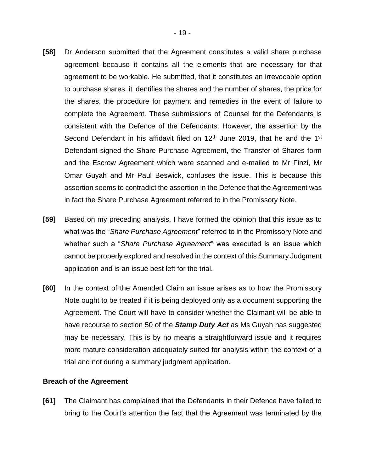- **[58]** Dr Anderson submitted that the Agreement constitutes a valid share purchase agreement because it contains all the elements that are necessary for that agreement to be workable. He submitted, that it constitutes an irrevocable option to purchase shares, it identifies the shares and the number of shares, the price for the shares, the procedure for payment and remedies in the event of failure to complete the Agreement. These submissions of Counsel for the Defendants is consistent with the Defence of the Defendants. However, the assertion by the Second Defendant in his affidavit filed on  $12<sup>th</sup>$  June 2019, that he and the 1<sup>st</sup> Defendant signed the Share Purchase Agreement, the Transfer of Shares form and the Escrow Agreement which were scanned and e-mailed to Mr Finzi, Mr Omar Guyah and Mr Paul Beswick, confuses the issue. This is because this assertion seems to contradict the assertion in the Defence that the Agreement was in fact the Share Purchase Agreement referred to in the Promissory Note.
- **[59]** Based on my preceding analysis, I have formed the opinion that this issue as to what was the "*Share Purchase Agreement*" referred to in the Promissory Note and whether such a "*Share Purchase Agreement*" was executed is an issue which cannot be properly explored and resolved in the context of this Summary Judgment application and is an issue best left for the trial.
- **[60]** In the context of the Amended Claim an issue arises as to how the Promissory Note ought to be treated if it is being deployed only as a document supporting the Agreement. The Court will have to consider whether the Claimant will be able to have recourse to section 50 of the *Stamp Duty Act* as Ms Guyah has suggested may be necessary. This is by no means a straightforward issue and it requires more mature consideration adequately suited for analysis within the context of a trial and not during a summary judgment application.

#### **Breach of the Agreement**

**[61]** The Claimant has complained that the Defendants in their Defence have failed to bring to the Court's attention the fact that the Agreement was terminated by the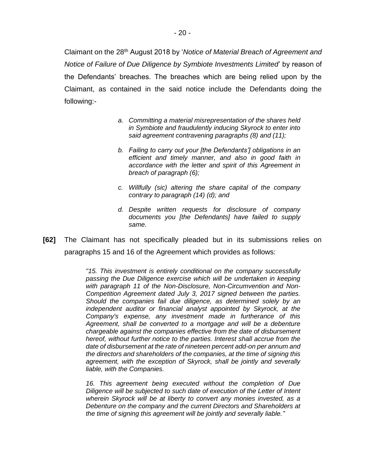Claimant on the 28th August 2018 by '*Notice of Material Breach of Agreement and Notice of Failure of Due Diligence by Symbiote Investments Limited*' by reason of the Defendants' breaches. The breaches which are being relied upon by the Claimant, as contained in the said notice include the Defendants doing the following:-

- *a. Committing a material misrepresentation of the shares held in Symbiote and fraudulently inducing Skyrock to enter into said agreement contravening paragraphs (8) and (11);*
- *b. Failing to carry out your [the Defendants'] obligations in an efficient and timely manner, and also in good faith in accordance with the letter and spirit of this Agreement in breach of paragraph (6);*
- *c. Willfully (sic) altering the share capital of the company contrary to paragraph (14) (d); and*
- *d. Despite written requests for disclosure of company documents you [the Defendants] have failed to supply same.*
- **[62]** The Claimant has not specifically pleaded but in its submissions relies on paragraphs 15 and 16 of the Agreement which provides as follows:

*"15. This investment is entirely conditional on the company successfully passing the Due Diligence exercise which will be undertaken in keeping with paragraph 11 of the Non-Disclosure, Non-Circumvention and Non-Competition Agreement dated July 3, 2017 signed between the parties. Should the companies fail due diligence, as determined solely by an independent auditor or financial analyst appointed by Skyrock, at the Company's expense, any investment made in furtherance of this Agreement, shall be converted to a mortgage and will be a debenture chargeable against the companies effective from the date of disbursement hereof, without further notice to the parties. Interest shall accrue from the date of disbursement at the rate of nineteen percent add-on per annum and the directors and shareholders of the companies, at the time of signing this agreement, with the exception of Skyrock, shall be jointly and severally liable, with the Companies.*

*16. This agreement being executed without the completion of Due Diligence will be subjected to such date of execution of the Letter of Intent wherein Skyrock will be at liberty to convert any monies invested, as a Debenture on the company and the current Directors and Shareholders at the time of signing this agreement will be jointly and severally liable."*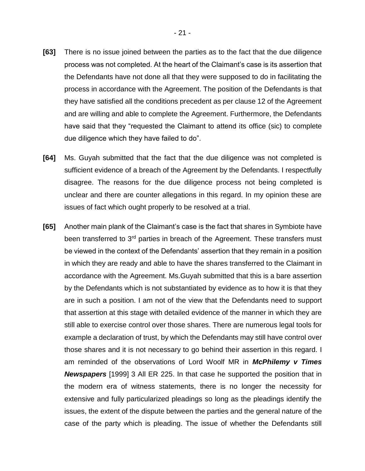- **[63]** There is no issue joined between the parties as to the fact that the due diligence process was not completed. At the heart of the Claimant's case is its assertion that the Defendants have not done all that they were supposed to do in facilitating the process in accordance with the Agreement. The position of the Defendants is that they have satisfied all the conditions precedent as per clause 12 of the Agreement and are willing and able to complete the Agreement. Furthermore, the Defendants have said that they "requested the Claimant to attend its office (sic) to complete due diligence which they have failed to do".
- **[64]** Ms. Guyah submitted that the fact that the due diligence was not completed is sufficient evidence of a breach of the Agreement by the Defendants. I respectfully disagree. The reasons for the due diligence process not being completed is unclear and there are counter allegations in this regard. In my opinion these are issues of fact which ought properly to be resolved at a trial.
- **[65]** Another main plank of the Claimant's case is the fact that shares in Symbiote have been transferred to 3<sup>rd</sup> parties in breach of the Agreement. These transfers must be viewed in the context of the Defendants' assertion that they remain in a position in which they are ready and able to have the shares transferred to the Claimant in accordance with the Agreement. Ms.Guyah submitted that this is a bare assertion by the Defendants which is not substantiated by evidence as to how it is that they are in such a position. I am not of the view that the Defendants need to support that assertion at this stage with detailed evidence of the manner in which they are still able to exercise control over those shares. There are numerous legal tools for example a declaration of trust, by which the Defendants may still have control over those shares and it is not necessary to go behind their assertion in this regard. I am reminded of the observations of Lord Woolf MR in *McPhilemy v Times Newspapers* [1999] 3 All ER 225. In that case he supported the position that in the modern era of witness statements, there is no longer the necessity for extensive and fully particularized pleadings so long as the pleadings identify the issues, the extent of the dispute between the parties and the general nature of the case of the party which is pleading. The issue of whether the Defendants still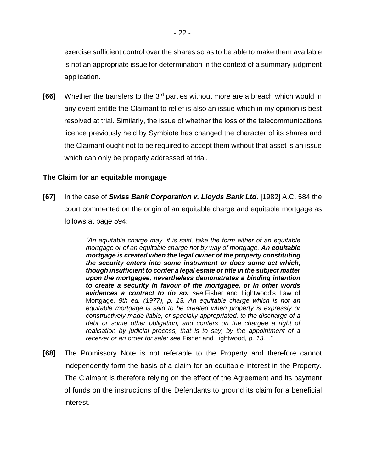exercise sufficient control over the shares so as to be able to make them available is not an appropriate issue for determination in the context of a summary judgment application.

**[66]** Whether the transfers to the 3<sup>rd</sup> parties without more are a breach which would in any event entitle the Claimant to relief is also an issue which in my opinion is best resolved at trial. Similarly, the issue of whether the loss of the telecommunications licence previously held by Symbiote has changed the character of its shares and the Claimant ought not to be required to accept them without that asset is an issue which can only be properly addressed at trial.

### **The Claim for an equitable mortgage**

**[67]** In the case of *Swiss Bank Corporation v. Lloyds Bank Ltd.* [1982] A.C. 584 the court commented on the origin of an equitable charge and equitable mortgage as follows at page 594:

> *"An equitable charge may, it is said, take the form either of an equitable mortgage or of an equitable charge not by way of mortgage. An equitable mortgage is created when the legal owner of the property constituting the security enters into some instrument or does some act which, though insufficient to confer a legal estate or title in the subject matter upon the mortgagee, nevertheless demonstrates a binding intention to create a security in favour of the mortgagee, or in other words evidences a contract to do so: see* Fisher and Lightwood's Law of Mortgage*, 9th ed. (1977), p. 13. An equitable charge which is not an equitable mortgage is said to be created when property is expressly or constructively made liable, or specially appropriated, to the discharge of a debt or some other obligation, and confers on the chargee a right of realisation by judicial process, that is to say, by the appointment of a receiver or an order for sale: see* Fisher and Lightwood*, p. 13…"*

**[68]** The Promissory Note is not referable to the Property and therefore cannot independently form the basis of a claim for an equitable interest in the Property. The Claimant is therefore relying on the effect of the Agreement and its payment of funds on the instructions of the Defendants to ground its claim for a beneficial interest.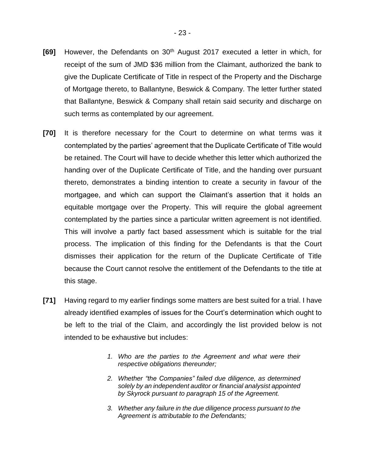- **[69]** However, the Defendants on 30th August 2017 executed a letter in which, for receipt of the sum of JMD \$36 million from the Claimant, authorized the bank to give the Duplicate Certificate of Title in respect of the Property and the Discharge of Mortgage thereto, to Ballantyne, Beswick & Company. The letter further stated that Ballantyne, Beswick & Company shall retain said security and discharge on such terms as contemplated by our agreement.
- **[70]** It is therefore necessary for the Court to determine on what terms was it contemplated by the parties' agreement that the Duplicate Certificate of Title would be retained. The Court will have to decide whether this letter which authorized the handing over of the Duplicate Certificate of Title, and the handing over pursuant thereto, demonstrates a binding intention to create a security in favour of the mortgagee, and which can support the Claimant's assertion that it holds an equitable mortgage over the Property. This will require the global agreement contemplated by the parties since a particular written agreement is not identified. This will involve a partly fact based assessment which is suitable for the trial process. The implication of this finding for the Defendants is that the Court dismisses their application for the return of the Duplicate Certificate of Title because the Court cannot resolve the entitlement of the Defendants to the title at this stage.
- **[71]** Having regard to my earlier findings some matters are best suited for a trial. I have already identified examples of issues for the Court's determination which ought to be left to the trial of the Claim, and accordingly the list provided below is not intended to be exhaustive but includes:
	- *1. Who are the parties to the Agreement and what were their respective obligations thereunder;*
	- *2. Whether "the Companies" failed due diligence, as determined solely by an independent auditor or financial analysist appointed by Skyrock pursuant to paragraph 15 of the Agreement.*
	- *3. Whether any failure in the due diligence process pursuant to the Agreement is attributable to the Defendants;*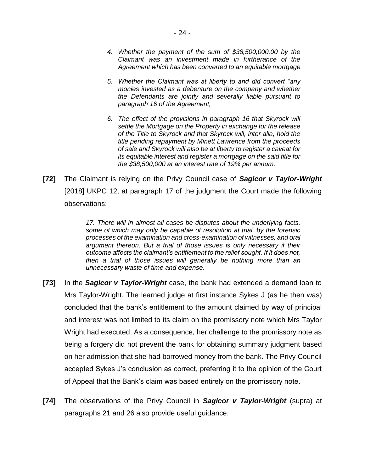- *4. Whether the payment of the sum of \$38,500,000.00 by the Claimant was an investment made in furtherance of the Agreement which has been converted to an equitable mortgage*
- *5. Whether the Claimant was at liberty to and did convert "any monies invested as a debenture on the company and whether the Defendants are jointly and severally liable pursuant to paragraph 16 of the Agreement;*
- *6. The effect of the provisions in paragraph 16 that Skyrock will settle the Mortgage on the Property in exchange for the release of the Title to Skyrock and that Skyrock will, inter alia, hold the title pending repayment by Minett Lawrence from the proceeds of sale and Skyrock will also be at liberty to register a caveat for its equitable interest and register a mortgage on the said title for the \$38,500,000 at an interest rate of 19% per annum.*
- **[72]** The Claimant is relying on the Privy Council case of *Sagicor v Taylor-Wright* [2018] UKPC 12, at paragraph 17 of the judgment the Court made the following observations:

*17. There will in almost all cases be disputes about the underlying facts, some of which may only be capable of resolution at trial, by the forensic processes of the examination and cross-examination of witnesses, and oral argument thereon. But a trial of those issues is only necessary if their outcome affects the claimant's entitlement to the relief sought. If it does not, then a trial of those issues will generally be nothing more than an unnecessary waste of time and expense.*

- **[73]** In the *Sagicor v Taylor-Wright* case, the bank had extended a demand loan to Mrs Taylor-Wright. The learned judge at first instance Sykes J (as he then was) concluded that the bank's entitlement to the amount claimed by way of principal and interest was not limited to its claim on the promissory note which Mrs Taylor Wright had executed. As a consequence, her challenge to the promissory note as being a forgery did not prevent the bank for obtaining summary judgment based on her admission that she had borrowed money from the bank. The Privy Council accepted Sykes J's conclusion as correct, preferring it to the opinion of the Court of Appeal that the Bank's claim was based entirely on the promissory note.
- **[74]** The observations of the Privy Council in *Sagicor v Taylor-Wright* (supra) at paragraphs 21 and 26 also provide useful guidance: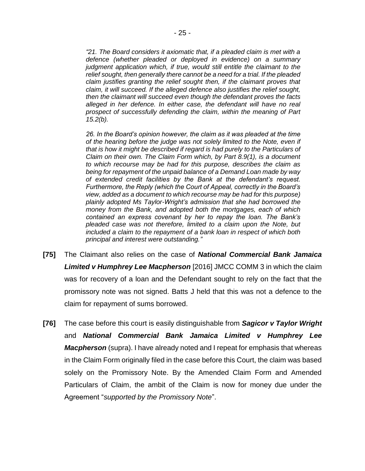*"21. The Board considers it axiomatic that, if a pleaded claim is met with a defence (whether pleaded or deployed in evidence) on a summary judgment application which, if true, would still entitle the claimant to the relief sought, then generally there cannot be a need for a trial. If the pleaded claim justifies granting the relief sought then, if the claimant proves that claim, it will succeed. If the alleged defence also justifies the relief sought, then the claimant will succeed even though the defendant proves the facts alleged in her defence. In either case, the defendant will have no real prospect of successfully defending the claim, within the meaning of Part 15.2(b).*

*26. In the Board's opinion however, the claim as it was pleaded at the time of the hearing before the judge was not solely limited to the Note, even if that is how it might be described if regard is had purely to the Particulars of Claim on their own. The Claim Form which, by Part 8.9(1), is a document to which recourse may be had for this purpose, describes the claim as being for repayment of the unpaid balance of a Demand Loan made by way of extended credit facilities by the Bank at the defendant's request. Furthermore, the Reply (which the Court of Appeal, correctly in the Board's view, added as a document to which recourse may be had for this purpose) plainly adopted Ms Taylor-Wright's admission that she had borrowed the money from the Bank, and adopted both the mortgages, each of which contained an express covenant by her to repay the loan. The Bank's pleaded case was not therefore, limited to a claim upon the Note, but included a claim to the repayment of a bank loan in respect of which both principal and interest were outstanding."*

- **[75]** The Claimant also relies on the case of *National Commercial Bank Jamaica Limited v Humphrey Lee Macpherson* [2016] JMCC COMM 3 in which the claim was for recovery of a loan and the Defendant sought to rely on the fact that the promissory note was not signed. Batts J held that this was not a defence to the claim for repayment of sums borrowed.
- **[76]** The case before this court is easily distinguishable from *Sagicor v Taylor Wright* and *National Commercial Bank Jamaica Limited v Humphrey Lee Macpherson* (supra). I have already noted and I repeat for emphasis that whereas in the Claim Form originally filed in the case before this Court, the claim was based solely on the Promissory Note. By the Amended Claim Form and Amended Particulars of Claim, the ambit of the Claim is now for money due under the Agreement "*supported by the Promissory Note*".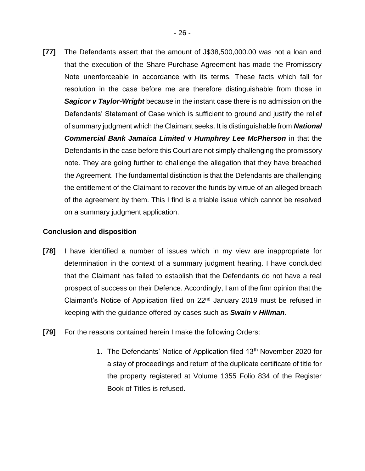**[77]** The Defendants assert that the amount of J\$38,500,000.00 was not a loan and that the execution of the Share Purchase Agreement has made the Promissory Note unenforceable in accordance with its terms. These facts which fall for resolution in the case before me are therefore distinguishable from those in *Sagicor v Taylor-Wright* because in the instant case there is no admission on the Defendants' Statement of Case which is sufficient to ground and justify the relief of summary judgment which the Claimant seeks. It is distinguishable from *National Commercial Bank Jamaica Limited* **v** *Humphrey Lee McPherson* in that the Defendants in the case before this Court are not simply challenging the promissory note. They are going further to challenge the allegation that they have breached the Agreement. The fundamental distinction is that the Defendants are challenging the entitlement of the Claimant to recover the funds by virtue of an alleged breach of the agreement by them. This I find is a triable issue which cannot be resolved on a summary judgment application.

## **Conclusion and disposition**

- **[78]** I have identified a number of issues which in my view are inappropriate for determination in the context of a summary judgment hearing. I have concluded that the Claimant has failed to establish that the Defendants do not have a real prospect of success on their Defence. Accordingly, I am of the firm opinion that the Claimant's Notice of Application filed on 22<sup>nd</sup> January 2019 must be refused in keeping with the guidance offered by cases such as *Swain v Hillman.*
- **[79]** For the reasons contained herein I make the following Orders:
	- 1. The Defendants' Notice of Application filed 13<sup>th</sup> November 2020 for a stay of proceedings and return of the duplicate certificate of title for the property registered at Volume 1355 Folio 834 of the Register Book of Titles is refused.